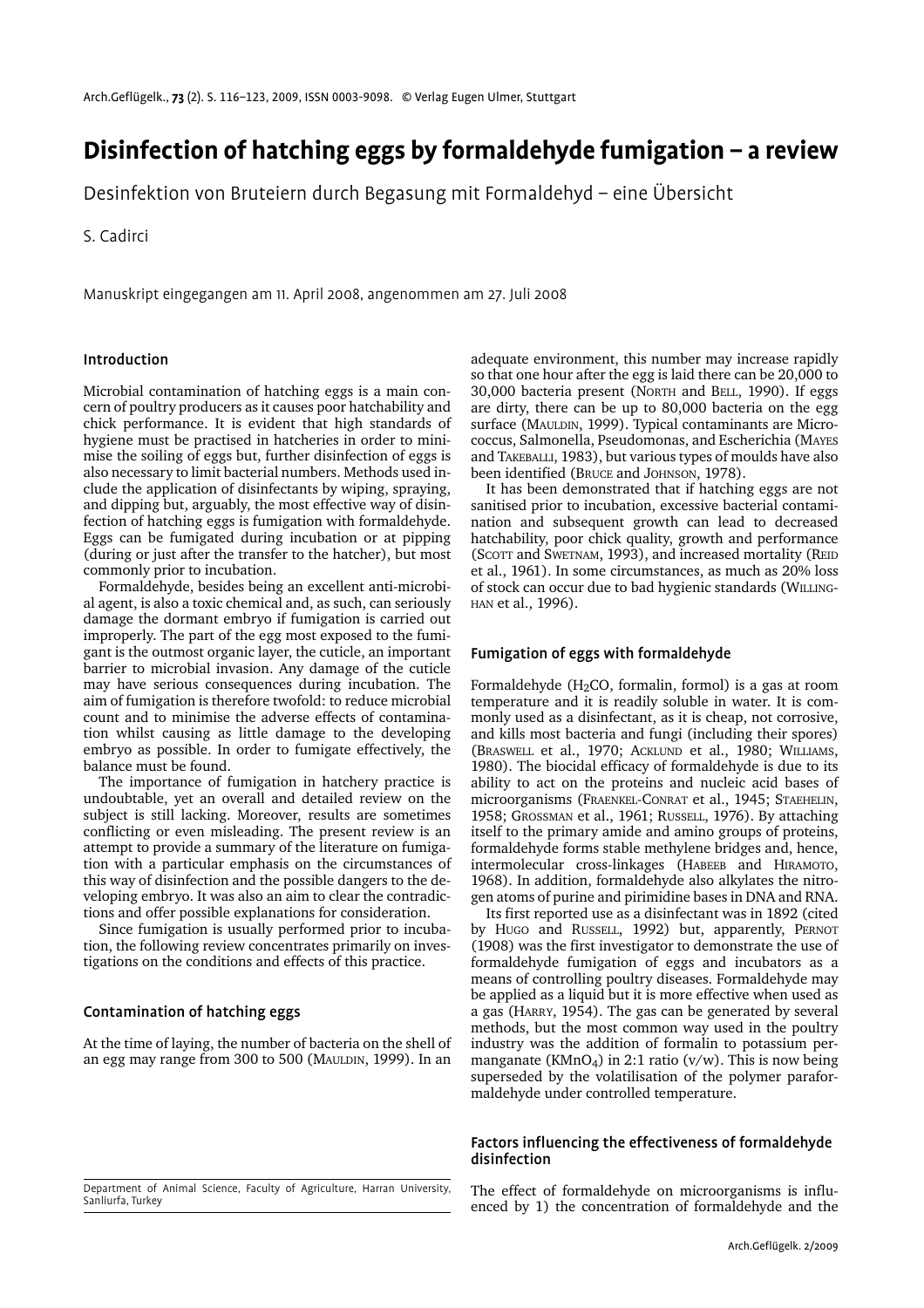# **Disinfection of hatching eggs by formaldehyde fumigation – a review**

Desinfektion von Bruteiern durch Begasung mit Formaldehyd – eine Übersicht

S. Cadirci

Manuskript eingegangen am 11. April 2008, angenommen am 27. Juli 2008

## Introduction

Microbial contamination of hatching eggs is a main concern of poultry producers as it causes poor hatchability and chick performance. It is evident that high standards of hygiene must be practised in hatcheries in order to minimise the soiling of eggs but, further disinfection of eggs is also necessary to limit bacterial numbers. Methods used include the application of disinfectants by wiping, spraying, and dipping but, arguably, the most effective way of disinfection of hatching eggs is fumigation with formaldehyde. Eggs can be fumigated during incubation or at pipping (during or just after the transfer to the hatcher), but most commonly prior to incubation.

Formaldehyde, besides being an excellent anti-microbial agent, is also a toxic chemical and, as such, can seriously damage the dormant embryo if fumigation is carried out improperly. The part of the egg most exposed to the fumigant is the outmost organic layer, the cuticle, an important barrier to microbial invasion. Any damage of the cuticle may have serious consequences during incubation. The aim of fumigation is therefore twofold: to reduce microbial count and to minimise the adverse effects of contamination whilst causing as little damage to the developing embryo as possible. In order to fumigate effectively, the balance must be found.

The importance of fumigation in hatchery practice is undoubtable, yet an overall and detailed review on the subject is still lacking. Moreover, results are sometimes conflicting or even misleading. The present review is an attempt to provide a summary of the literature on fumigation with a particular emphasis on the circumstances of this way of disinfection and the possible dangers to the developing embryo. It was also an aim to clear the contradictions and offer possible explanations for consideration.

Since fumigation is usually performed prior to incubation, the following review concentrates primarily on investigations on the conditions and effects of this practice.

## Contamination of hatching eggs

At the time of laying, the number of bacteria on the shell of an egg may range from 300 to 500 (MAULDIN, 1999). In an

adequate environment, this number may increase rapidly so that one hour after the egg is laid there can be 20,000 to 30,000 bacteria present (NORTH and BELL, 1990). If eggs are dirty, there can be up to 80,000 bacteria on the egg surface (MAULDIN, 1999). Typical contaminants are Micrococcus, Salmonella, Pseudomonas, and Escherichia (MAYES and TAKEBALLI, 1983), but various types of moulds have also been identified (BRUCE and JOHNSON, 1978).

It has been demonstrated that if hatching eggs are not sanitised prior to incubation, excessive bacterial contamination and subsequent growth can lead to decreased hatchability, poor chick quality, growth and performance (SCOTT and SWETNAM, 1993), and increased mortality (REID et al., 1961). In some circumstances, as much as 20% loss of stock can occur due to bad hygienic standards (WILLING-HAN et al., 1996).

## Fumigation of eggs with formaldehyde

Formaldehyde ( $H<sub>2</sub>CO$ , formalin, formol) is a gas at room temperature and it is readily soluble in water. It is commonly used as a disinfectant, as it is cheap, not corrosive, and kills most bacteria and fungi (including their spores) (BRASWELL et al., 1970; ACKLUND et al., 1980; WILLIAMS, 1980). The biocidal efficacy of formaldehyde is due to its ability to act on the proteins and nucleic acid bases of microorganisms (FRAENKEL-CONRAT et al., 1945; STAEHELIN, 1958; GROSSMAN et al., 1961; RUSSELL, 1976). By attaching itself to the primary amide and amino groups of proteins, formaldehyde forms stable methylene bridges and, hence, intermolecular cross-linkages (HABEEB and HIRAMOTO, 1968). In addition, formaldehyde also alkylates the nitrogen atoms of purine and pirimidine bases in DNA and RNA.

Its first reported use as a disinfectant was in 1892 (cited by HUGO and RUSSELL, 1992) but, apparently, PERNOT (1908) was the first investigator to demonstrate the use of formaldehyde fumigation of eggs and incubators as a means of controlling poultry diseases. Formaldehyde may be applied as a liquid but it is more effective when used as a gas (HARRY, 1954). The gas can be generated by several methods, but the most common way used in the poultry industry was the addition of formalin to potassium permanganate (KMnO<sub>4</sub>) in 2:1 ratio ( $v/w$ ). This is now being superseded by the volatilisation of the polymer paraformaldehyde under controlled temperature.

## Factors influencing the effectiveness of formaldehyde disinfection

The effect of formaldehyde on microorganisms is influenced by 1) the concentration of formaldehyde and the

Department of Animal Science, Faculty of Agriculture, Harran University, Sanliurfa, Turkey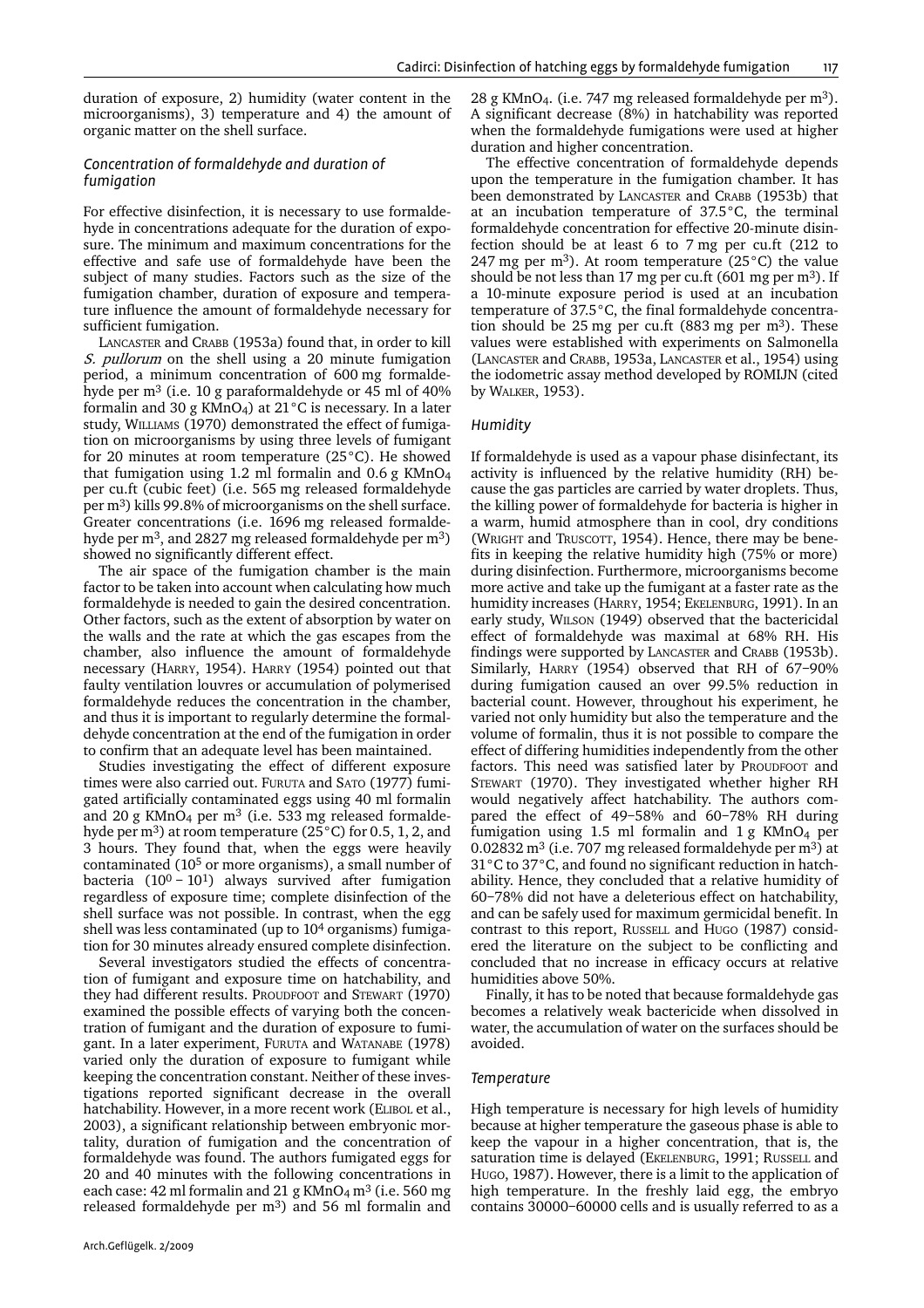duration of exposure, 2) humidity (water content in the microorganisms), 3) temperature and 4) the amount of organic matter on the shell surface.

#### *Concentration of formaldehyde and duration of fumigation*

For effective disinfection, it is necessary to use formaldehyde in concentrations adequate for the duration of exposure. The minimum and maximum concentrations for the effective and safe use of formaldehyde have been the subject of many studies. Factors such as the size of the fumigation chamber, duration of exposure and temperature influence the amount of formaldehyde necessary for sufficient fumigation.

LANCASTER and CRABB (1953a) found that, in order to kill S. pullorum on the shell using a 20 minute fumigation period, a minimum concentration of 600 mg formaldehyde per  $m<sup>3</sup>$  (i.e. 10 g paraformaldehyde or 45 ml of 40% formalin and 30 g KMnO<sub>4</sub>) at 21 $\degree$ C is necessary. In a later study, WILLIAMS (1970) demonstrated the effect of fumigation on microorganisms by using three levels of fumigant for 20 minutes at room temperature (25°C). He showed that fumigation using 1.2 ml formalin and  $0.6$  g KMnO<sub>4</sub> per cu.ft (cubic feet) (i.e. 565 mg released formaldehyde per m3) kills 99.8% of microorganisms on the shell surface. Greater concentrations (i.e. 1696 mg released formaldehyde per m<sup>3</sup>, and 2827 mg released formaldehyde per m<sup>3</sup>) showed no significantly different effect.

The air space of the fumigation chamber is the main factor to be taken into account when calculating how much formaldehyde is needed to gain the desired concentration. Other factors, such as the extent of absorption by water on the walls and the rate at which the gas escapes from the chamber, also influence the amount of formaldehyde necessary (HARRY, 1954). HARRY (1954) pointed out that faulty ventilation louvres or accumulation of polymerised formaldehyde reduces the concentration in the chamber, and thus it is important to regularly determine the formaldehyde concentration at the end of the fumigation in order to confirm that an adequate level has been maintained.

Studies investigating the effect of different exposure times were also carried out. FURUTA and SATO (1977) fumigated artificially contaminated eggs using 40 ml formalin and 20 g KMnO<sub>4</sub> per m<sup>3</sup> (i.e. 533 mg released formaldehyde per m3) at room temperature (25°C) for 0.5, 1, 2, and 3 hours. They found that, when the eggs were heavily contaminated (105 or more organisms), a small number of bacteria  $(10^0 - 10^1)$  always survived after fumigation regardless of exposure time; complete disinfection of the shell surface was not possible. In contrast, when the egg shell was less contaminated (up to 104 organisms) fumigation for 30 minutes already ensured complete disinfection.

Several investigators studied the effects of concentration of fumigant and exposure time on hatchability, and they had different results. PROUDFOOT and STEWART (1970) examined the possible effects of varying both the concentration of fumigant and the duration of exposure to fumigant. In a later experiment, FURUTA and WATANABE (1978) varied only the duration of exposure to fumigant while keeping the concentration constant. Neither of these investigations reported significant decrease in the overall hatchability. However, in a more recent work (ELIBOL et al., 2003), a significant relationship between embryonic mortality, duration of fumigation and the concentration of formaldehyde was found. The authors fumigated eggs for 20 and 40 minutes with the following concentrations in each case: 42 ml formalin and 21 g  $KMnO<sub>4</sub> m<sup>3</sup>$  (i.e. 560 mg released formaldehyde per m3) and 56 ml formalin and

28 g KMnO<sub>4</sub>. (i.e. 747 mg released formaldehyde per m<sup>3</sup>). A significant decrease (8%) in hatchability was reported when the formaldehyde fumigations were used at higher duration and higher concentration.

The effective concentration of formaldehyde depends upon the temperature in the fumigation chamber. It has been demonstrated by LANCASTER and CRABB (1953b) that at an incubation temperature of 37.5°C, the terminal formaldehyde concentration for effective 20-minute disinfection should be at least 6 to 7 mg per cu.ft (212 to 247 mg per m<sup>3</sup>). At room temperature  $(25^{\circ}C)$  the value should be not less than 17 mg per cu.ft  $(601 \text{ mg per m}^3)$ . If a 10-minute exposure period is used at an incubation temperature of 37.5°C, the final formaldehyde concentration should be 25 mg per cu.ft (883 mg per  $m<sup>3</sup>$ ). These values were established with experiments on Salmonella (LANCASTER and CRABB, 1953a, LANCASTER et al., 1954) using the iodometric assay method developed by ROMIJN (cited by WALKER, 1953).

#### *Humidity*

If formaldehyde is used as a vapour phase disinfectant, its activity is influenced by the relative humidity (RH) because the gas particles are carried by water droplets. Thus, the killing power of formaldehyde for bacteria is higher in a warm, humid atmosphere than in cool, dry conditions (WRIGHT and TRUSCOTT, 1954). Hence, there may be benefits in keeping the relative humidity high (75% or more) during disinfection. Furthermore, microorganisms become more active and take up the fumigant at a faster rate as the humidity increases (HARRY, 1954; EKELENBURG, 1991). In an early study, WILSON (1949) observed that the bactericidal effect of formaldehyde was maximal at 68% RH. His findings were supported by LANCASTER and CRABB (1953b). Similarly, HARRY (1954) observed that RH of 67–90% during fumigation caused an over 99.5% reduction in bacterial count. However, throughout his experiment, he varied not only humidity but also the temperature and the volume of formalin, thus it is not possible to compare the effect of differing humidities independently from the other factors. This need was satisfied later by PROUDFOOT and STEWART (1970). They investigated whether higher RH would negatively affect hatchability. The authors compared the effect of 49–58% and 60–78% RH during fumigation using 1.5 ml formalin and  $1 \text{ g }$  KMnO<sub>4</sub> per 0.02832 m<sup>3</sup> (i.e. 707 mg released formaldehyde per m<sup>3</sup>) at 31°C to 37°C, and found no significant reduction in hatchability. Hence, they concluded that a relative humidity of 60–78% did not have a deleterious effect on hatchability, and can be safely used for maximum germicidal benefit. In contrast to this report, RUSSELL and HUGO (1987) considered the literature on the subject to be conflicting and concluded that no increase in efficacy occurs at relative humidities above 50%.

Finally, it has to be noted that because formaldehyde gas becomes a relatively weak bactericide when dissolved in water, the accumulation of water on the surfaces should be avoided.

#### *Temperature*

High temperature is necessary for high levels of humidity because at higher temperature the gaseous phase is able to keep the vapour in a higher concentration, that is, the saturation time is delayed (EKELENBURG, 1991; RUSSELL and HUGO, 1987). However, there is a limit to the application of high temperature. In the freshly laid egg, the embryo contains 30000–60000 cells and is usually referred to as a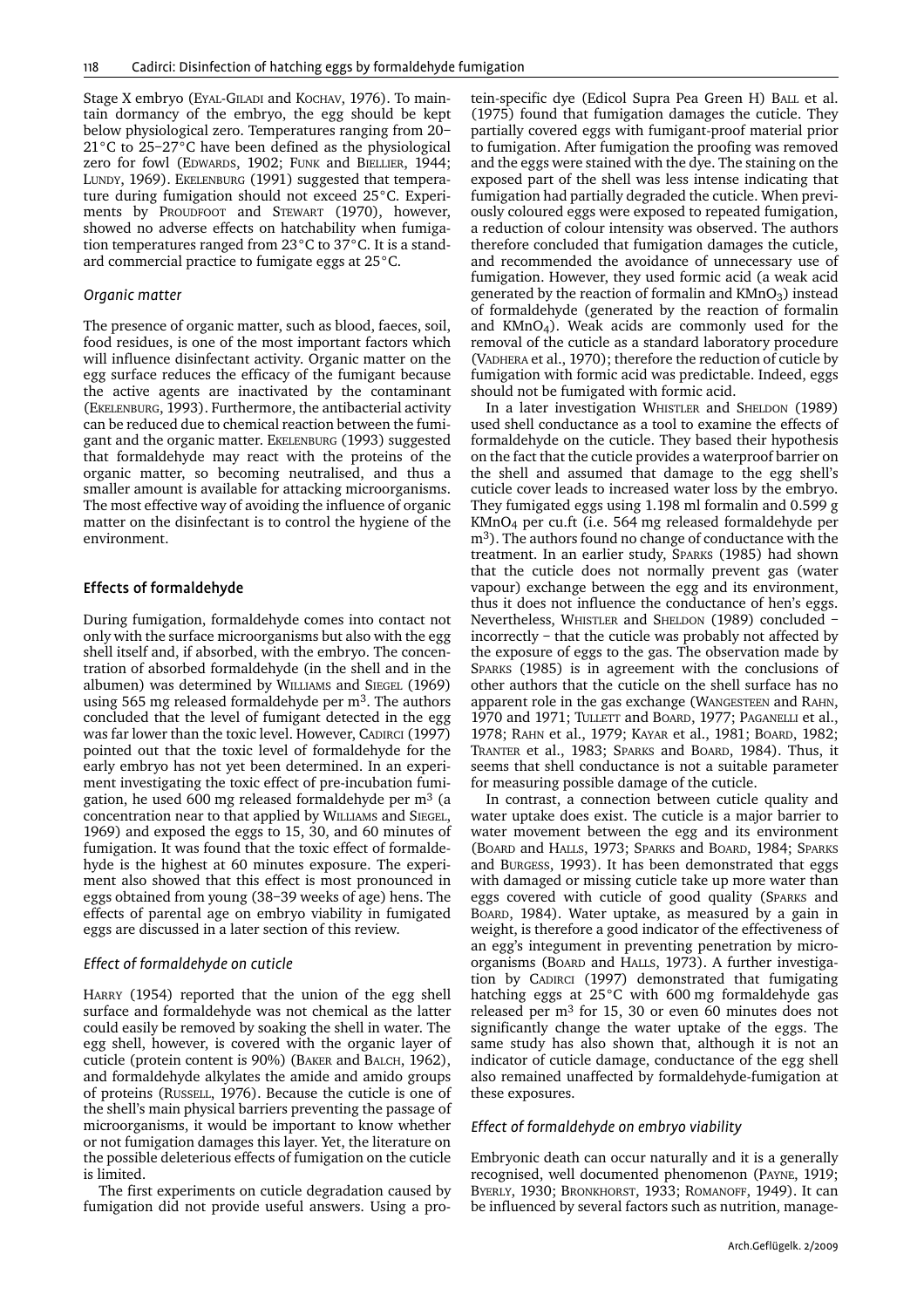Stage X embryo (EYAL-GILADI and KOCHAV, 1976). To maintain dormancy of the embryo, the egg should be kept below physiological zero. Temperatures ranging from 20– 21°C to 25–27°C have been defined as the physiological zero for fowl (EDWARDS, 1902; FUNK and BIELLIER, 1944; LUNDY, 1969). EKELENBURG (1991) suggested that temperature during fumigation should not exceed 25°C. Experiments by PROUDFOOT and STEWART (1970), however, showed no adverse effects on hatchability when fumigation temperatures ranged from 23°C to 37°C. It is a standard commercial practice to fumigate eggs at 25°C.

## *Organic matter*

The presence of organic matter, such as blood, faeces, soil, food residues, is one of the most important factors which will influence disinfectant activity. Organic matter on the egg surface reduces the efficacy of the fumigant because the active agents are inactivated by the contaminant (EKELENBURG, 1993). Furthermore, the antibacterial activity can be reduced due to chemical reaction between the fumigant and the organic matter. EKELENBURG (1993) suggested that formaldehyde may react with the proteins of the organic matter, so becoming neutralised, and thus a smaller amount is available for attacking microorganisms. The most effective way of avoiding the influence of organic matter on the disinfectant is to control the hygiene of the environment.

## Effects of formaldehyde

During fumigation, formaldehyde comes into contact not only with the surface microorganisms but also with the egg shell itself and, if absorbed, with the embryo. The concentration of absorbed formaldehyde (in the shell and in the albumen) was determined by WILLIAMS and SIEGEL (1969) using 565 mg released formaldehyde per  $m<sup>3</sup>$ . The authors concluded that the level of fumigant detected in the egg was far lower than the toxic level. However, CADIRCI (1997) pointed out that the toxic level of formaldehyde for the early embryo has not yet been determined. In an experiment investigating the toxic effect of pre-incubation fumigation, he used 600 mg released formaldehyde per  $m<sup>3</sup>$  (a concentration near to that applied by WILLIAMS and SIEGEL, 1969) and exposed the eggs to 15, 30, and 60 minutes of fumigation. It was found that the toxic effect of formaldehyde is the highest at 60 minutes exposure. The experiment also showed that this effect is most pronounced in eggs obtained from young (38–39 weeks of age) hens. The effects of parental age on embryo viability in fumigated eggs are discussed in a later section of this review.

#### *Effect of formaldehyde on cuticle*

HARRY (1954) reported that the union of the egg shell surface and formaldehyde was not chemical as the latter could easily be removed by soaking the shell in water. The egg shell, however, is covered with the organic layer of cuticle (protein content is 90%) (BAKER and BALCH, 1962), and formaldehyde alkylates the amide and amido groups of proteins (RUSSELL, 1976). Because the cuticle is one of the shell's main physical barriers preventing the passage of microorganisms, it would be important to know whether or not fumigation damages this layer. Yet, the literature on the possible deleterious effects of fumigation on the cuticle is limited.

The first experiments on cuticle degradation caused by fumigation did not provide useful answers. Using a pro-

tein-specific dye (Edicol Supra Pea Green H) BALL et al. (1975) found that fumigation damages the cuticle. They partially covered eggs with fumigant-proof material prior to fumigation. After fumigation the proofing was removed and the eggs were stained with the dye. The staining on the exposed part of the shell was less intense indicating that fumigation had partially degraded the cuticle. When previously coloured eggs were exposed to repeated fumigation, a reduction of colour intensity was observed. The authors therefore concluded that fumigation damages the cuticle, and recommended the avoidance of unnecessary use of fumigation. However, they used formic acid (a weak acid generated by the reaction of formalin and  $KMD<sub>3</sub>$ ) instead of formaldehyde (generated by the reaction of formalin and  $KMnO<sub>4</sub>$ ). Weak acids are commonly used for the removal of the cuticle as a standard laboratory procedure (VADHERA et al., 1970); therefore the reduction of cuticle by fumigation with formic acid was predictable. Indeed, eggs should not be fumigated with formic acid.

In a later investigation WHISTLER and SHELDON (1989) used shell conductance as a tool to examine the effects of formaldehyde on the cuticle. They based their hypothesis on the fact that the cuticle provides a waterproof barrier on the shell and assumed that damage to the egg shell's cuticle cover leads to increased water loss by the embryo. They fumigated eggs using 1.198 ml formalin and 0.599 g KMnO4 per cu.ft (i.e. 564 mg released formaldehyde per m3). The authors found no change of conductance with the treatment. In an earlier study, SPARKS (1985) had shown that the cuticle does not normally prevent gas (water vapour) exchange between the egg and its environment, thus it does not influence the conductance of hen's eggs. Nevertheless, WHISTLER and SHELDON (1989) concluded – incorrectly – that the cuticle was probably not affected by the exposure of eggs to the gas. The observation made by SPARKS (1985) is in agreement with the conclusions of other authors that the cuticle on the shell surface has no apparent role in the gas exchange (WANGESTEEN and RAHN, 1970 and 1971; TULLETT and BOARD, 1977; PAGANELLI et al., 1978; RAHN et al., 1979; KAYAR et al., 1981; BOARD, 1982; TRANTER et al., 1983; SPARKS and BOARD, 1984). Thus, it seems that shell conductance is not a suitable parameter for measuring possible damage of the cuticle.

In contrast, a connection between cuticle quality and water uptake does exist. The cuticle is a major barrier to water movement between the egg and its environment (BOARD and HALLS, 1973; SPARKS and BOARD, 1984; SPARKS and BURGESS, 1993). It has been demonstrated that eggs with damaged or missing cuticle take up more water than eggs covered with cuticle of good quality (SPARKS and BOARD, 1984). Water uptake, as measured by a gain in weight, is therefore a good indicator of the effectiveness of an egg's integument in preventing penetration by microorganisms (BOARD and HALLS, 1973). A further investigation by CADIRCI (1997) demonstrated that fumigating hatching eggs at 25°C with 600 mg formaldehyde gas released per m3 for 15, 30 or even 60 minutes does not significantly change the water uptake of the eggs. The same study has also shown that, although it is not an indicator of cuticle damage, conductance of the egg shell also remained unaffected by formaldehyde-fumigation at these exposures.

#### *Effect of formaldehyde on embryo viability*

Embryonic death can occur naturally and it is a generally recognised, well documented phenomenon (PAYNE, 1919; BYERLY, 1930; BRONKHORST, 1933; ROMANOFF, 1949). It can be influenced by several factors such as nutrition, manage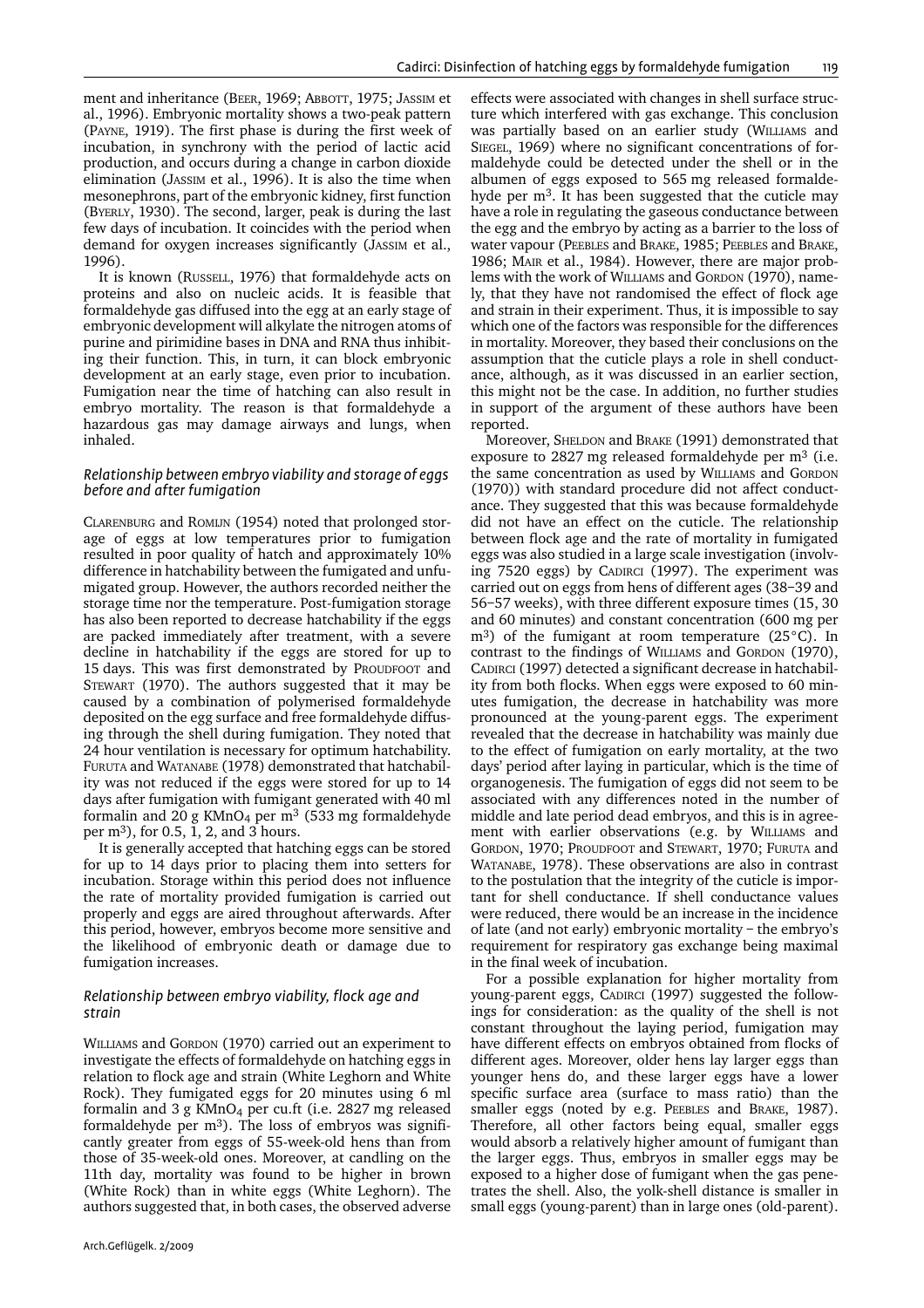ment and inheritance (BEER, 1969; ABBOTT, 1975; JASSIM et al., 1996). Embryonic mortality shows a two-peak pattern (PAYNE, 1919). The first phase is during the first week of incubation, in synchrony with the period of lactic acid production, and occurs during a change in carbon dioxide elimination (JASSIM et al., 1996). It is also the time when mesonephrons, part of the embryonic kidney, first function (BYERLY, 1930). The second, larger, peak is during the last few days of incubation. It coincides with the period when demand for oxygen increases significantly (JASSIM et al., 1996).

It is known (RUSSELL, 1976) that formaldehyde acts on proteins and also on nucleic acids. It is feasible that formaldehyde gas diffused into the egg at an early stage of embryonic development will alkylate the nitrogen atoms of purine and pirimidine bases in DNA and RNA thus inhibiting their function. This, in turn, it can block embryonic development at an early stage, even prior to incubation. Fumigation near the time of hatching can also result in embryo mortality. The reason is that formaldehyde a hazardous gas may damage airways and lungs, when inhaled.

#### *Relationship between embryo viability and storage of eggs before and after fumigation*

CLARENBURG and ROMIJN (1954) noted that prolonged storage of eggs at low temperatures prior to fumigation resulted in poor quality of hatch and approximately 10% difference in hatchability between the fumigated and unfumigated group. However, the authors recorded neither the storage time nor the temperature. Post-fumigation storage has also been reported to decrease hatchability if the eggs are packed immediately after treatment, with a severe decline in hatchability if the eggs are stored for up to 15 days. This was first demonstrated by PROUDFOOT and STEWART (1970). The authors suggested that it may be caused by a combination of polymerised formaldehyde deposited on the egg surface and free formaldehyde diffusing through the shell during fumigation. They noted that 24 hour ventilation is necessary for optimum hatchability. FURUTA and WATANABE (1978) demonstrated that hatchability was not reduced if the eggs were stored for up to 14 days after fumigation with fumigant generated with 40 ml formalin and 20 g KMnO<sub>4</sub> per m<sup>3</sup> (533 mg formaldehyde per m3), for 0.5, 1, 2, and 3 hours.

It is generally accepted that hatching eggs can be stored for up to 14 days prior to placing them into setters for incubation. Storage within this period does not influence the rate of mortality provided fumigation is carried out properly and eggs are aired throughout afterwards. After this period, however, embryos become more sensitive and the likelihood of embryonic death or damage due to fumigation increases.

## *Relationship between embryo viability, flock age and strain*

WILLIAMS and GORDON (1970) carried out an experiment to investigate the effects of formaldehyde on hatching eggs in relation to flock age and strain (White Leghorn and White Rock). They fumigated eggs for 20 minutes using 6 ml formalin and 3 g  $KMnO<sub>4</sub>$  per cu.ft (i.e. 2827 mg released formaldehyde per  $m^3$ ). The loss of embryos was significantly greater from eggs of 55-week-old hens than from those of 35-week-old ones. Moreover, at candling on the 11th day, mortality was found to be higher in brown (White Rock) than in white eggs (White Leghorn). The authors suggested that, in both cases, the observed adverse

Arch.Geflügelk. 2/2009

effects were associated with changes in shell surface structure which interfered with gas exchange. This conclusion was partially based on an earlier study (WILLIAMS and SIEGEL, 1969) where no significant concentrations of formaldehyde could be detected under the shell or in the albumen of eggs exposed to 565 mg released formaldehyde per m3. It has been suggested that the cuticle may have a role in regulating the gaseous conductance between the egg and the embryo by acting as a barrier to the loss of water vapour (PEEBLES and BRAKE, 1985; PEEBLES and BRAKE, 1986; MAIR et al., 1984). However, there are major problems with the work of WILLIAMS and GORDON (1970), namely, that they have not randomised the effect of flock age and strain in their experiment. Thus, it is impossible to say which one of the factors was responsible for the differences in mortality. Moreover, they based their conclusions on the assumption that the cuticle plays a role in shell conductance, although, as it was discussed in an earlier section, this might not be the case. In addition, no further studies in support of the argument of these authors have been reported.

Moreover, SHELDON and BRAKE (1991) demonstrated that exposure to 2827 mg released formaldehyde per  $m<sup>3</sup>$  (i.e. the same concentration as used by WILLIAMS and GORDON (1970)) with standard procedure did not affect conductance. They suggested that this was because formaldehyde did not have an effect on the cuticle. The relationship between flock age and the rate of mortality in fumigated eggs was also studied in a large scale investigation (involving 7520 eggs) by CADIRCI (1997). The experiment was carried out on eggs from hens of different ages (38–39 and 56–57 weeks), with three different exposure times (15, 30 and 60 minutes) and constant concentration (600 mg per m<sup>3</sup>) of the fumigant at room temperature (25<sup>°</sup>C). In contrast to the findings of WILLIAMS and GORDON (1970), CADIRCI (1997) detected a significant decrease in hatchability from both flocks. When eggs were exposed to 60 minutes fumigation, the decrease in hatchability was more pronounced at the young-parent eggs. The experiment revealed that the decrease in hatchability was mainly due to the effect of fumigation on early mortality, at the two days' period after laying in particular, which is the time of organogenesis. The fumigation of eggs did not seem to be associated with any differences noted in the number of middle and late period dead embryos, and this is in agreement with earlier observations (e.g. by WILLIAMS and GORDON, 1970; PROUDFOOT and STEWART, 1970; FURUTA and WATANABE, 1978). These observations are also in contrast to the postulation that the integrity of the cuticle is important for shell conductance. If shell conductance values were reduced, there would be an increase in the incidence of late (and not early) embryonic mortality – the embryo's requirement for respiratory gas exchange being maximal in the final week of incubation.

For a possible explanation for higher mortality from young-parent eggs, CADIRCI (1997) suggested the followings for consideration: as the quality of the shell is not constant throughout the laying period, fumigation may have different effects on embryos obtained from flocks of different ages. Moreover, older hens lay larger eggs than younger hens do, and these larger eggs have a lower specific surface area (surface to mass ratio) than the smaller eggs (noted by e.g. PEEBLES and BRAKE, 1987). Therefore, all other factors being equal, smaller eggs would absorb a relatively higher amount of fumigant than the larger eggs. Thus, embryos in smaller eggs may be exposed to a higher dose of fumigant when the gas penetrates the shell. Also, the yolk-shell distance is smaller in small eggs (young-parent) than in large ones (old-parent).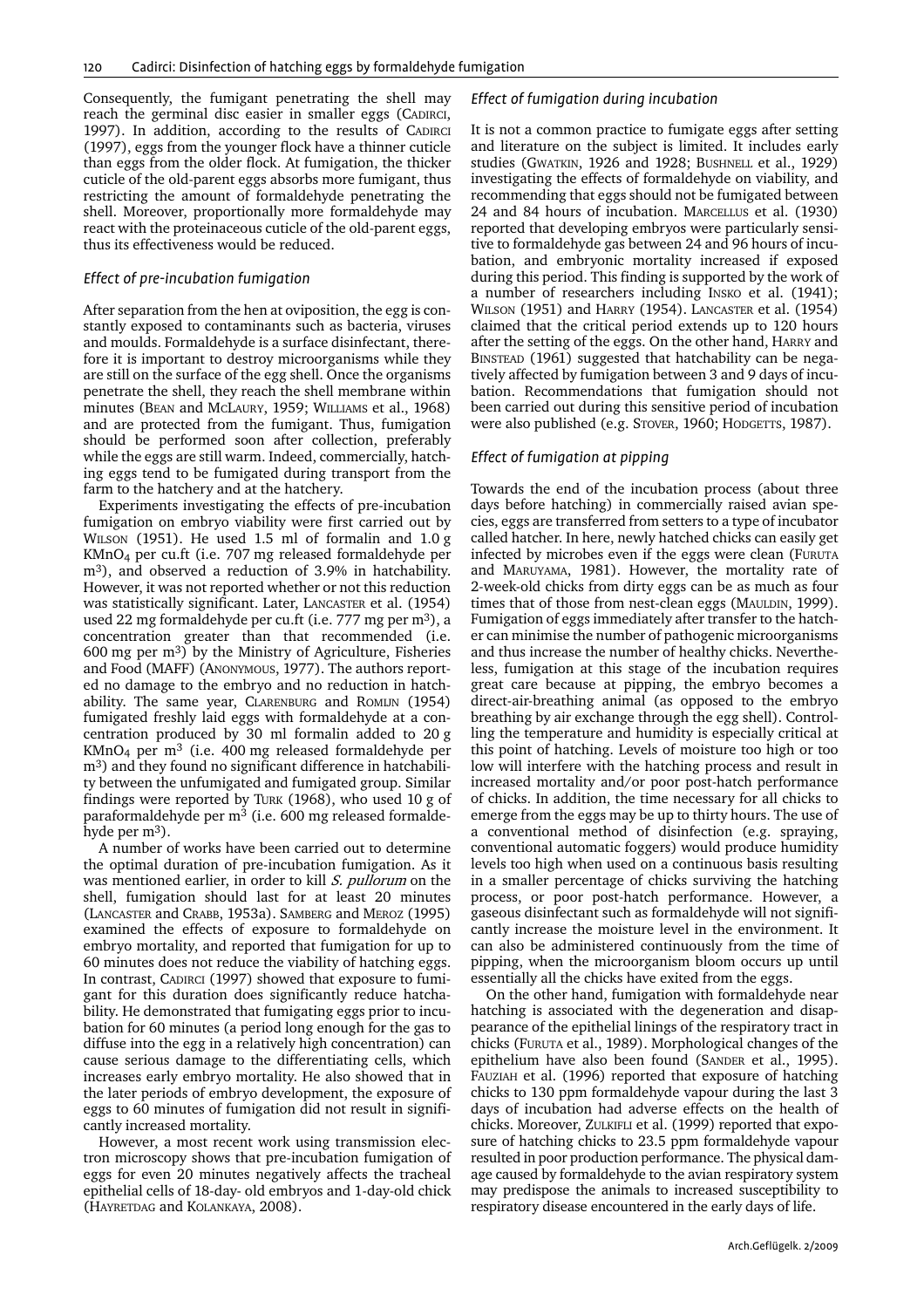Consequently, the fumigant penetrating the shell may reach the germinal disc easier in smaller eggs (CADIRCI, 1997). In addition, according to the results of CADIRCI (1997), eggs from the younger flock have a thinner cuticle than eggs from the older flock. At fumigation, the thicker cuticle of the old-parent eggs absorbs more fumigant, thus restricting the amount of formaldehyde penetrating the shell. Moreover, proportionally more formaldehyde may react with the proteinaceous cuticle of the old-parent eggs, thus its effectiveness would be reduced.

#### *Effect of pre-incubation fumigation*

After separation from the hen at oviposition, the egg is constantly exposed to contaminants such as bacteria, viruses and moulds. Formaldehyde is a surface disinfectant, therefore it is important to destroy microorganisms while they are still on the surface of the egg shell. Once the organisms penetrate the shell, they reach the shell membrane within minutes (BEAN and MCLAURY, 1959; WILLIAMS et al., 1968) and are protected from the fumigant. Thus, fumigation should be performed soon after collection, preferably while the eggs are still warm. Indeed, commercially, hatching eggs tend to be fumigated during transport from the farm to the hatchery and at the hatchery.

Experiments investigating the effects of pre-incubation fumigation on embryo viability were first carried out by WILSON (1951). He used 1.5 ml of formalin and 1.0 g KMnO4 per cu.ft (i.e. 707 mg released formaldehyde per m3), and observed a reduction of 3.9% in hatchability. However, it was not reported whether or not this reduction was statistically significant. Later, LANCASTER et al. (1954) used 22 mg formaldehyde per cu.ft (i.e. 777 mg per m3), a concentration greater than that recommended (i.e. 600 mg per  $m^3$ ) by the Ministry of Agriculture, Fisheries and Food (MAFF) (ANONYMOUS, 1977). The authors reported no damage to the embryo and no reduction in hatchability. The same year, CLARENBURG and ROMIJN (1954) fumigated freshly laid eggs with formaldehyde at a concentration produced by 30 ml formalin added to 20 g KMnO4 per m3 (i.e. 400 mg released formaldehyde per m<sup>3</sup>) and they found no significant difference in hatchability between the unfumigated and fumigated group. Similar findings were reported by TURK (1968), who used 10 g of paraformaldehyde per m<sup>3</sup> (i.e. 600 mg released formaldehyde per  $m^3$ ).

A number of works have been carried out to determine the optimal duration of pre-incubation fumigation. As it was mentioned earlier, in order to kill *S. pullorum* on the shell, fumigation should last for at least 20 minutes (LANCASTER and CRABB, 1953a). SAMBERG and MEROZ (1995) examined the effects of exposure to formaldehyde on embryo mortality, and reported that fumigation for up to 60 minutes does not reduce the viability of hatching eggs. In contrast, CADIRCI (1997) showed that exposure to fumigant for this duration does significantly reduce hatchability. He demonstrated that fumigating eggs prior to incubation for 60 minutes (a period long enough for the gas to diffuse into the egg in a relatively high concentration) can cause serious damage to the differentiating cells, which increases early embryo mortality. He also showed that in the later periods of embryo development, the exposure of eggs to 60 minutes of fumigation did not result in significantly increased mortality.

However, a most recent work using transmission electron microscopy shows that pre-incubation fumigation of eggs for even 20 minutes negatively affects the tracheal epithelial cells of 18-day- old embryos and 1-day-old chick (HAYRETDAG and KOLANKAYA, 2008).

## *Effect of fumigation during incubation*

It is not a common practice to fumigate eggs after setting and literature on the subject is limited. It includes early studies (GWATKIN, 1926 and 1928; BUSHNELL et al., 1929) investigating the effects of formaldehyde on viability, and recommending that eggs should not be fumigated between 24 and 84 hours of incubation. MARCELLUS et al. (1930) reported that developing embryos were particularly sensitive to formaldehyde gas between 24 and 96 hours of incubation, and embryonic mortality increased if exposed during this period. This finding is supported by the work of a number of researchers including INSKO et al. (1941); WILSON (1951) and HARRY (1954). LANCASTER et al. (1954) claimed that the critical period extends up to 120 hours after the setting of the eggs. On the other hand, HARRY and BINSTEAD (1961) suggested that hatchability can be negatively affected by fumigation between 3 and 9 days of incubation. Recommendations that fumigation should not been carried out during this sensitive period of incubation were also published (e.g. STOVER, 1960; HODGETTS, 1987).

## *Effect of fumigation at pipping*

Towards the end of the incubation process (about three days before hatching) in commercially raised avian species, eggs are transferred from setters to a type of incubator called hatcher. In here, newly hatched chicks can easily get infected by microbes even if the eggs were clean (FURUTA and MARUYAMA, 1981). However, the mortality rate of 2-week-old chicks from dirty eggs can be as much as four times that of those from nest-clean eggs (MAULDIN, 1999). Fumigation of eggs immediately after transfer to the hatcher can minimise the number of pathogenic microorganisms and thus increase the number of healthy chicks. Nevertheless, fumigation at this stage of the incubation requires great care because at pipping, the embryo becomes a direct-air-breathing animal (as opposed to the embryo breathing by air exchange through the egg shell). Controlling the temperature and humidity is especially critical at this point of hatching. Levels of moisture too high or too low will interfere with the hatching process and result in increased mortality and/or poor post-hatch performance of chicks. In addition, the time necessary for all chicks to emerge from the eggs may be up to thirty hours. The use of a conventional method of disinfection (e.g. spraying, conventional automatic foggers) would produce humidity levels too high when used on a continuous basis resulting in a smaller percentage of chicks surviving the hatching process, or poor post-hatch performance. However, a gaseous disinfectant such as formaldehyde will not significantly increase the moisture level in the environment. It can also be administered continuously from the time of pipping, when the microorganism bloom occurs up until essentially all the chicks have exited from the eggs.

On the other hand, fumigation with formaldehyde near hatching is associated with the degeneration and disappearance of the epithelial linings of the respiratory tract in chicks (FURUTA et al., 1989). Morphological changes of the epithelium have also been found (SANDER et al., 1995). FAUZIAH et al. (1996) reported that exposure of hatching chicks to 130 ppm formaldehyde vapour during the last 3 days of incubation had adverse effects on the health of chicks. Moreover, ZULKIFLI et al. (1999) reported that exposure of hatching chicks to 23.5 ppm formaldehyde vapour resulted in poor production performance. The physical damage caused by formaldehyde to the avian respiratory system may predispose the animals to increased susceptibility to respiratory disease encountered in the early days of life.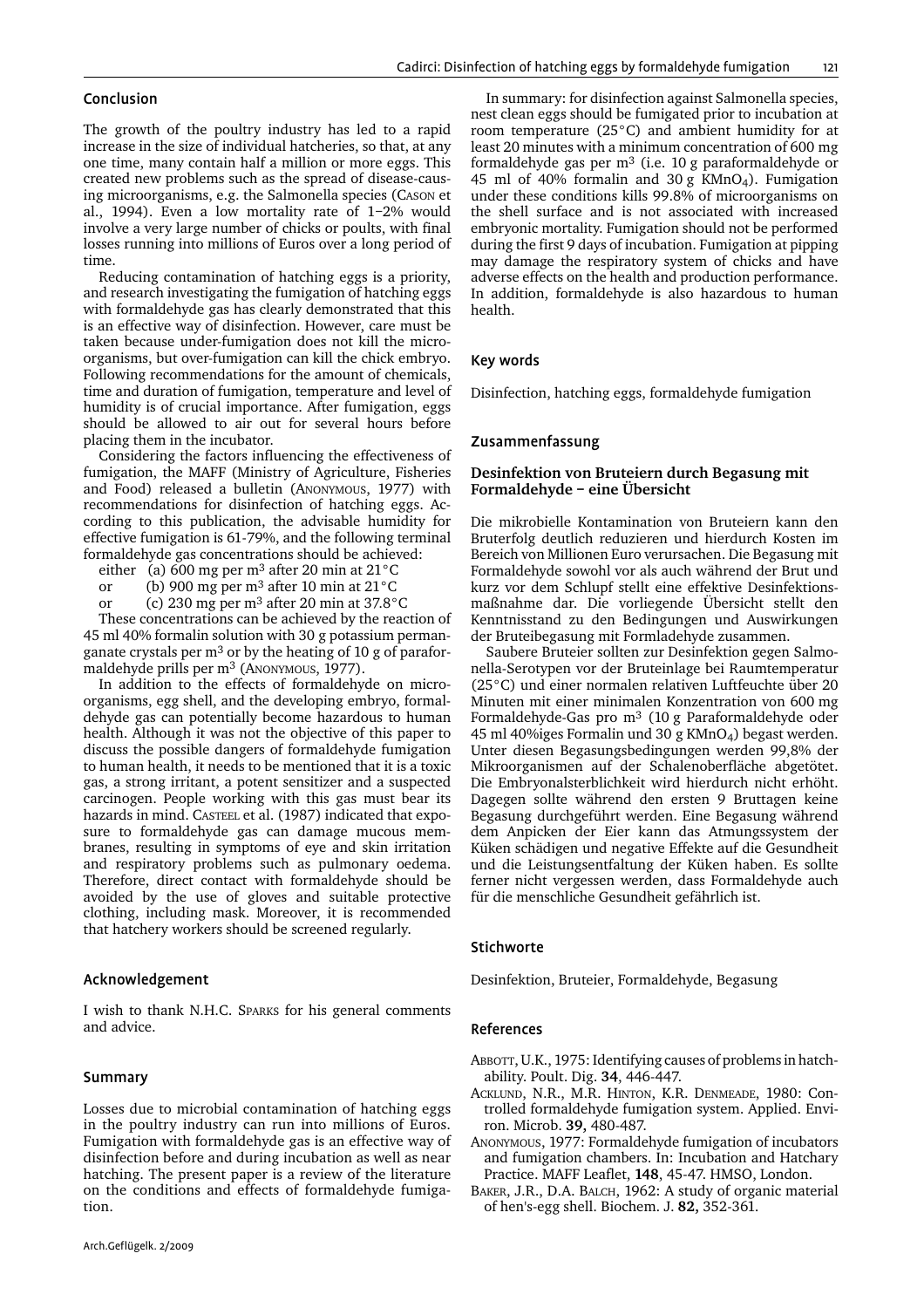## Conclusion

The growth of the poultry industry has led to a rapid increase in the size of individual hatcheries, so that, at any one time, many contain half a million or more eggs. This created new problems such as the spread of disease-causing microorganisms, e.g. the Salmonella species (CASON et al., 1994). Even a low mortality rate of 1–2% would involve a very large number of chicks or poults, with final losses running into millions of Euros over a long period of time.

Reducing contamination of hatching eggs is a priority, and research investigating the fumigation of hatching eggs with formaldehyde gas has clearly demonstrated that this is an effective way of disinfection. However, care must be taken because under-fumigation does not kill the microorganisms, but over-fumigation can kill the chick embryo. Following recommendations for the amount of chemicals, time and duration of fumigation, temperature and level of humidity is of crucial importance. After fumigation, eggs should be allowed to air out for several hours before placing them in the incubator.

Considering the factors influencing the effectiveness of fumigation, the MAFF (Ministry of Agriculture, Fisheries and Food) released a bulletin (ANONYMOUS, 1977) with recommendations for disinfection of hatching eggs. According to this publication, the advisable humidity for effective fumigation is 61-79%, and the following terminal formaldehyde gas concentrations should be achieved:

either (a) 600 mg per m<sup>3</sup> after 20 min at  $21^{\circ}$ C

- or (b) 900 mg per m<sup>3</sup> after 10 min at  $21^{\circ}$ C
- or (c) 230 mg per m3 after 20 min at 37.8°C

These concentrations can be achieved by the reaction of 45 ml 40% formalin solution with 30 g potassium permanganate crystals per m3 or by the heating of 10 g of paraformaldehyde prills per m<sup>3</sup> (ANONYMOUS, 1977).

In addition to the effects of formaldehyde on microorganisms, egg shell, and the developing embryo, formaldehyde gas can potentially become hazardous to human health. Although it was not the objective of this paper to discuss the possible dangers of formaldehyde fumigation to human health, it needs to be mentioned that it is a toxic gas, a strong irritant, a potent sensitizer and a suspected carcinogen. People working with this gas must bear its hazards in mind. CASTEEL et al. (1987) indicated that exposure to formaldehyde gas can damage mucous membranes, resulting in symptoms of eye and skin irritation and respiratory problems such as pulmonary oedema. Therefore, direct contact with formaldehyde should be avoided by the use of gloves and suitable protective clothing, including mask. Moreover, it is recommended that hatchery workers should be screened regularly.

## Acknowledgement

I wish to thank N.H.C. SPARKS for his general comments and advice.

## Summary

Losses due to microbial contamination of hatching eggs in the poultry industry can run into millions of Euros. Fumigation with formaldehyde gas is an effective way of disinfection before and during incubation as well as near hatching. The present paper is a review of the literature on the conditions and effects of formaldehyde fumigation.

In summary: for disinfection against Salmonella species, nest clean eggs should be fumigated prior to incubation at room temperature (25°C) and ambient humidity for at least 20 minutes with a minimum concentration of 600 mg formaldehyde gas per  $m^3$  (i.e. 10 g paraformaldehyde or 45 ml of 40% formalin and 30 g  $KMnO<sub>4</sub>$ ). Fumigation under these conditions kills 99.8% of microorganisms on the shell surface and is not associated with increased embryonic mortality. Fumigation should not be performed during the first 9 days of incubation. Fumigation at pipping may damage the respiratory system of chicks and have adverse effects on the health and production performance. In addition, formaldehyde is also hazardous to human health.

#### Key words

Disinfection, hatching eggs, formaldehyde fumigation

#### Zusammenfassung

#### **Desinfektion von Bruteiern durch Begasung mit Formaldehyde – eine Übersicht**

Die mikrobielle Kontamination von Bruteiern kann den Bruterfolg deutlich reduzieren und hierdurch Kosten im Bereich von Millionen Euro verursachen. Die Begasung mit Formaldehyde sowohl vor als auch während der Brut und kurz vor dem Schlupf stellt eine effektive Desinfektionsmaßnahme dar. Die vorliegende Übersicht stellt den Kenntnisstand zu den Bedingungen und Auswirkungen der Bruteibegasung mit Formladehyde zusammen.

Saubere Bruteier sollten zur Desinfektion gegen Salmonella-Serotypen vor der Bruteinlage bei Raumtemperatur (25°C) und einer normalen relativen Luftfeuchte über 20 Minuten mit einer minimalen Konzentration von 600 mg Formaldehyde-Gas pro m3 (10 g Paraformaldehyde oder 45 ml 40%iges Formalin und 30 g KMnO4) begast werden. Unter diesen Begasungsbedingungen werden 99,8% der Mikroorganismen auf der Schalenoberfläche abgetötet. Die Embryonalsterblichkeit wird hierdurch nicht erhöht. Dagegen sollte während den ersten 9 Bruttagen keine Begasung durchgeführt werden. Eine Begasung während dem Anpicken der Eier kann das Atmungssystem der Küken schädigen und negative Effekte auf die Gesundheit und die Leistungsentfaltung der Küken haben. Es sollte ferner nicht vergessen werden, dass Formaldehyde auch für die menschliche Gesundheit gefährlich ist.

#### **Stichworte**

Desinfektion, Bruteier, Formaldehyde, Begasung

## References

- ABBOTT, U.K., 1975: Identifying causes of problems in hatchability. Poult. Dig. **34**, 446-447.
- ACKLUND, N.R., M.R. HINTON, K.R. DENMEADE, 1980: Controlled formaldehyde fumigation system. Applied. Environ. Microb. **39,** 480-487.
- ANONYMOUS, 1977: Formaldehyde fumigation of incubators and fumigation chambers. In: Incubation and Hatchary Practice. MAFF Leaflet, **148**, 45-47. HMSO, London.
- BAKER, J.R., D.A. BALCH, 1962: A study of organic material of hen's-egg shell. Biochem. J. **82,** 352-361.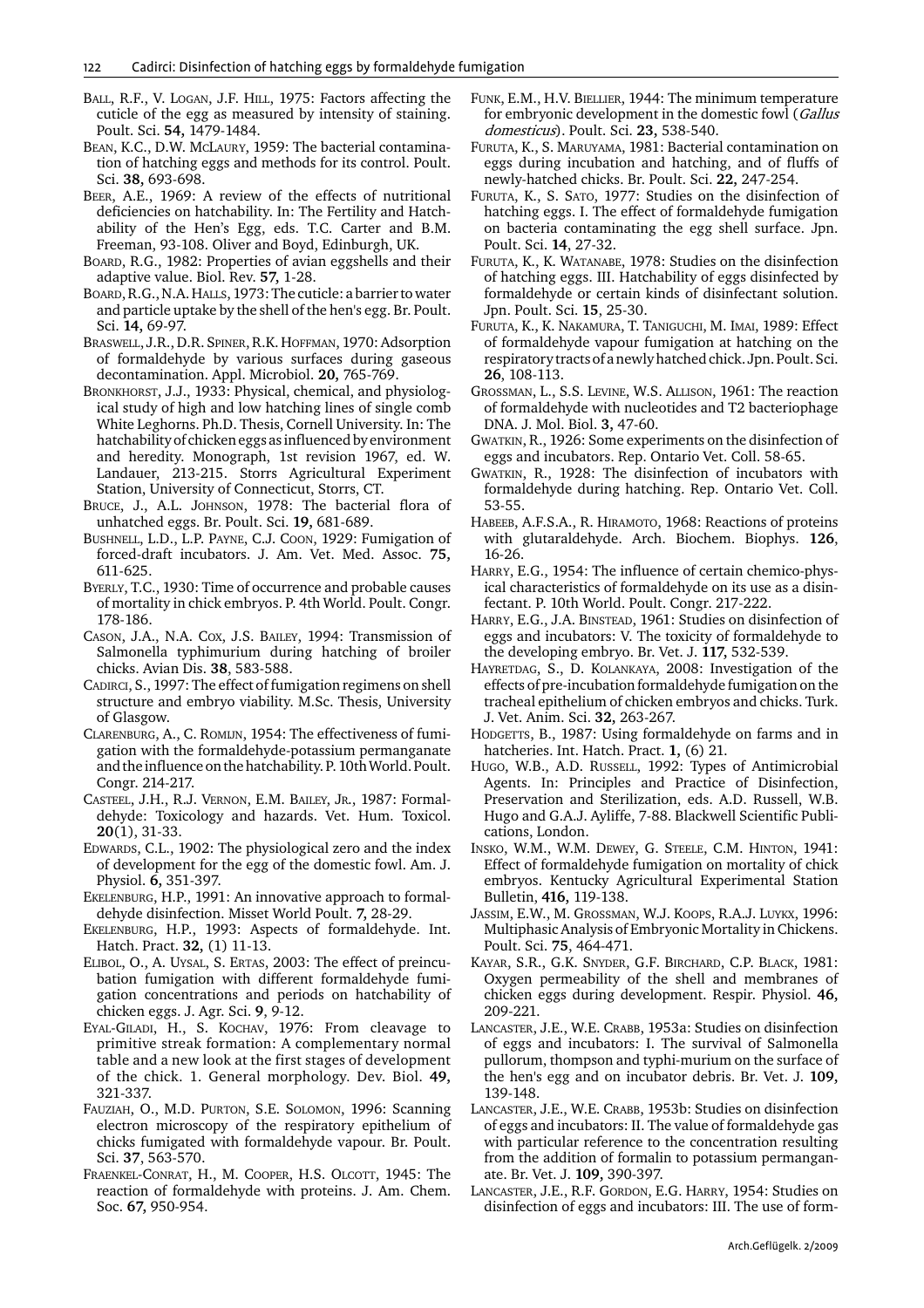- BALL, R.F., V. LOGAN, J.F. HILL, 1975: Factors affecting the cuticle of the egg as measured by intensity of staining. Poult. Sci. **54,** 1479-1484.
- BEAN, K.C., D.W. MCLAURY, 1959: The bacterial contamination of hatching eggs and methods for its control. Poult. Sci. **38,** 693-698.
- BEER, A.E., 1969: A review of the effects of nutritional deficiencies on hatchability. In: The Fertility and Hatchability of the Hen's Egg, eds. T.C. Carter and B.M. Freeman, 93-108. Oliver and Boyd, Edinburgh, UK.
- BOARD, R.G., 1982: Properties of avian eggshells and their adaptive value. Biol. Rev. **57,** 1-28.
- BOARD, R.G., N.A. HALLS, 1973: The cuticle: a barrier to water and particle uptake by the shell of the hen's egg. Br. Poult. Sci. **14,** 69-97.
- BRASWELL, J.R., D.R. SPINER, R.K. HOFFMAN, 1970: Adsorption of formaldehyde by various surfaces during gaseous decontamination. Appl. Microbiol. **20,** 765-769.
- BRONKHORST, J.J., 1933: Physical, chemical, and physiological study of high and low hatching lines of single comb White Leghorns. Ph.D. Thesis, Cornell University. In: The hatchability of chicken eggs as influenced by environment and heredity. Monograph, 1st revision 1967, ed. W. Landauer, 213-215. Storrs Agricultural Experiment Station, University of Connecticut, Storrs, CT.
- BRUCE, J., A.L. JOHNSON, 1978: The bacterial flora of unhatched eggs. Br. Poult. Sci. **19,** 681-689.
- BUSHNELL, L.D., L.P. PAYNE, C.J. COON, 1929: Fumigation of forced-draft incubators. J. Am. Vet. Med. Assoc. **75,** 611-625.
- BYERLY, T.C., 1930: Time of occurrence and probable causes of mortality in chick embryos. P. 4th World. Poult. Congr. 178-186.
- CASON, J.A., N.A. COX, J.S. BAILEY, 1994: Transmission of Salmonella typhimurium during hatching of broiler chicks. Avian Dis. **38**, 583-588.
- CADIRCI, S., 1997: The effect of fumigation regimens on shell structure and embryo viability. M.Sc. Thesis, University of Glasgow.
- CLARENBURG, A., C. ROMIJN, 1954: The effectiveness of fumigation with the formaldehyde-potassium permanganate and the influence on the hatchability. P. 10th World. Poult. Congr. 214-217.
- CASTEEL, J.H., R.J. VERNON, E.M. BAILEY, JR., 1987: Formaldehyde: Toxicology and hazards. Vet. Hum. Toxicol. **20**(1), 31-33.
- EDWARDS, C.L., 1902: The physiological zero and the index of development for the egg of the domestic fowl. Am. J. Physiol. **6,** 351-397.
- EKELENBURG, H.P., 1991: An innovative approach to formaldehyde disinfection. Misset World Poult. **7,** 28-29.
- EKELENBURG, H.P., 1993: Aspects of formaldehyde. Int. Hatch. Pract. **32,** (1) 11-13.
- ELIBOL, O., A. UYSAL, S. ERTAS, 2003: The effect of preincubation fumigation with different formaldehyde fumigation concentrations and periods on hatchability of chicken eggs. J. Agr. Sci. **9**, 9-12.
- EYAL-GILADI, H., S. KOCHAV, 1976: From cleavage to primitive streak formation: A complementary normal table and a new look at the first stages of development of the chick. 1. General morphology. Dev. Biol. **49,** 321-337.
- FAUZIAH, O., M.D. PURTON, S.E. SOLOMON, 1996: Scanning electron microscopy of the respiratory epithelium of chicks fumigated with formaldehyde vapour. Br. Poult. Sci. **37**, 563-570.
- FRAENKEL-CONRAT, H., M. COOPER, H.S. OLCOTT, 1945: The reaction of formaldehyde with proteins. J. Am. Chem. Soc. **67,** 950-954.
- FUNK, E.M., H.V. BIELLIER, 1944: The minimum temperature for embryonic development in the domestic fowl (Gallus domesticus). Poult. Sci. **23,** 538-540.
- FURUTA, K., S. MARUYAMA, 1981: Bacterial contamination on eggs during incubation and hatching, and of fluffs of newly-hatched chicks. Br. Poult. Sci. **22,** 247-254.
- FURUTA, K., S. SATO, 1977: Studies on the disinfection of hatching eggs. I. The effect of formaldehyde fumigation on bacteria contaminating the egg shell surface. Jpn. Poult. Sci. **14**, 27-32.
- FURUTA, K., K. WATANABE, 1978: Studies on the disinfection of hatching eggs. III. Hatchability of eggs disinfected by formaldehyde or certain kinds of disinfectant solution. Jpn. Poult. Sci. **15**, 25-30.
- FURUTA, K., K. NAKAMURA, T. TANIGUCHI, M. IMAI, 1989: Effect of formaldehyde vapour fumigation at hatching on the respiratory tracts of a newly hatched chick. Jpn. Poult. Sci. **26**, 108-113.
- GROSSMAN, L., S.S. LEVINE, W.S. ALLISON, 1961: The reaction of formaldehyde with nucleotides and T2 bacteriophage DNA. J. Mol. Biol. **3,** 47-60.
- GWATKIN, R., 1926: Some experiments on the disinfection of eggs and incubators. Rep. Ontario Vet. Coll. 58-65.
- GWATKIN, R., 1928: The disinfection of incubators with formaldehyde during hatching. Rep. Ontario Vet. Coll. 53-55.
- HABEEB, A.F.S.A., R. HIRAMOTO, 1968: Reactions of proteins with glutaraldehyde. Arch. Biochem. Biophys. **126**, 16-26.
- HARRY, E.G., 1954: The influence of certain chemico-physical characteristics of formaldehyde on its use as a disinfectant. P. 10th World. Poult. Congr. 217-222.
- HARRY, E.G., J.A. BINSTEAD, 1961: Studies on disinfection of eggs and incubators: V. The toxicity of formaldehyde to the developing embryo. Br. Vet. J. **117,** 532-539.
- HAYRETDAG, S., D. KOLANKAYA, 2008: Investigation of the effects of pre-incubation formaldehyde fumigation on the tracheal epithelium of chicken embryos and chicks. Turk. J. Vet. Anim. Sci. **32,** 263-267.
- HODGETTS, B., 1987: Using formaldehyde on farms and in hatcheries. Int. Hatch. Pract. **1,** (6) 21.
- HUGO, W.B., A.D. RUSSELL, 1992: Types of Antimicrobial Agents. In: Principles and Practice of Disinfection, Preservation and Sterilization, eds. A.D. Russell, W.B. Hugo and G.A.J. Ayliffe, 7-88. Blackwell Scientific Publications, London.
- INSKO, W.M., W.M. DEWEY, G. STEELE, C.M. HINTON, 1941: Effect of formaldehyde fumigation on mortality of chick embryos. Kentucky Agricultural Experimental Station Bulletin, **416,** 119-138.
- JASSIM, E.W., M. GROSSMAN, W.J. KOOPS, R.A.J. LUYKX, 1996: Multiphasic Analysis of Embryonic Mortality in Chickens. Poult. Sci. **75**, 464-471.
- KAYAR, S.R., G.K. SNYDER, G.F. BIRCHARD, C.P. BLACK, 1981: Oxygen permeability of the shell and membranes of chicken eggs during development. Respir. Physiol. **46,** 209-221.
- LANCASTER, J.E., W.E. CRABB, 1953a: Studies on disinfection of eggs and incubators: I. The survival of Salmonella pullorum, thompson and typhi-murium on the surface of the hen's egg and on incubator debris. Br. Vet. J. **109,** 139-148.
- LANCASTER, J.E., W.E. CRABB, 1953b: Studies on disinfection of eggs and incubators: II. The value of formaldehyde gas with particular reference to the concentration resulting from the addition of formalin to potassium permanganate. Br. Vet. J. **109,** 390-397.
- LANCASTER, J.E., R.F. GORDON, E.G. HARRY, 1954: Studies on disinfection of eggs and incubators: III. The use of form-